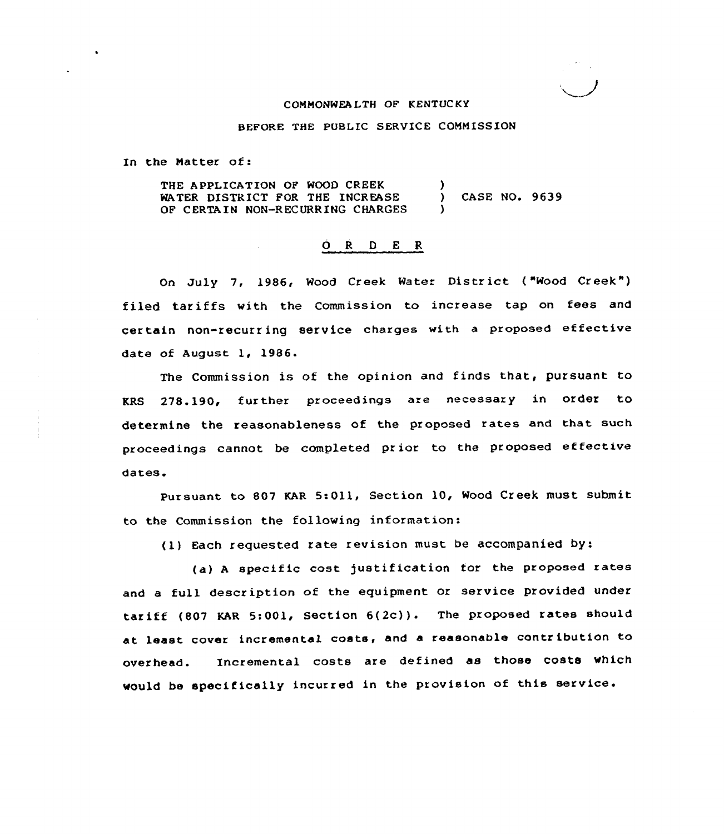## CONNONWEA LTH OF KENTUC KY

BEFORE THE PUBLIC SERVICE COMMISSION

In the Natter of:

THE APPLICATION OF WOOD CREEK WATER DISTRICT FOR THE INCREASE OF CERTA IN NON-RECURRING CHARGES ) ) CASE NO. 9639 )

## ORDER

On July 7, 1986, Wood Creek Water District ("Wood Creek") filed tariffs with the Commission to increase tap on fees and cer tain non-recurr ing service charges with <sup>a</sup> proposed effective date of August 1, 1986.

The Commission is of the opinion and finds that, pursuant to KRS 278.190, further proceedings are necessary in order to determine the reasonableness of the proposed rates and that such proceedings cannot be completed pr ior to the proposed effective dares.

Pursuant to 807 KAR 5:011, Section 10, Wood Creek must submit to the Commission the following information:

(1) Each requested rate revision must be accompanied by:

(a) <sup>A</sup> specific cost )ustification tor the proposed rates and <sup>a</sup> full description of the equipment or service provided under tariff (807 KAR 5:001, Section 6(2c)). The proposed rates should at least cover incremental costs, and <sup>a</sup> reasonable contribution to overhead. Incremental costs are defined as those costs which would be specifically incurred in the provision of this service.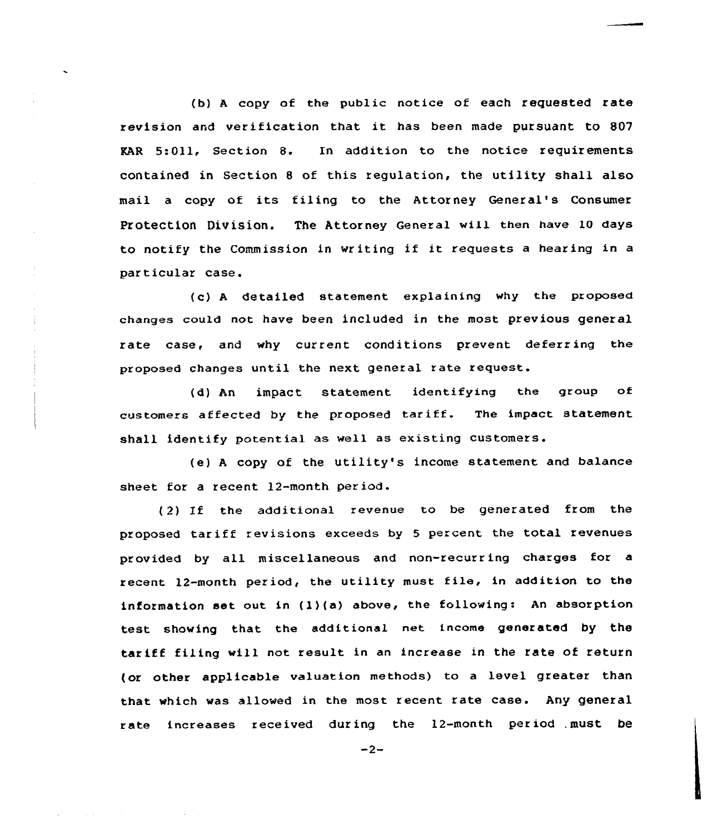(b) <sup>A</sup> copy of the public notice of each requested rate revision and verification that it has been made pursuant to 807 EAR 5:Oll, Section 8. In addition to the notice requirements contained in Section <sup>8</sup> of this regulation, the utility shall also mail a copy of its filing to the Attorney General's Consumer Protection Division. The Attorney General will then have 10 days to notify the Commission in writing if it requests <sup>a</sup> hearing in <sup>a</sup> particular case.

(c) <sup>A</sup> detailed statement explaining why the proposed changes could not have been included in the most previous general rate case, and why current conditions prevent deferring the proposed changes until the next general rate request.

(d) An impact statement identifying the group of customers affected by the proposed tariff. The impact statement shall identify potential as well as existing customers.

(e) <sup>A</sup> copy of the utility's income statement and balance sheet for a recent 12-month period.

(2) If the additional revenue to be generated from the proposed tariff revisions exceeds by <sup>5</sup> percent the total revenues provided by all miscellaneous and non-recurring charges for a recent 12-month period, the utility must file, in addition to the information set out in (1)(a) above, the following: An absorption test showing that the additional net income generated by the tariff filing will not result in an increase in the rate of return (or other applicable valuation methods) to a level greater than that which was allowed in the most recent rate case. Any general rate increases received during the 12-month period must be

 $-2-$